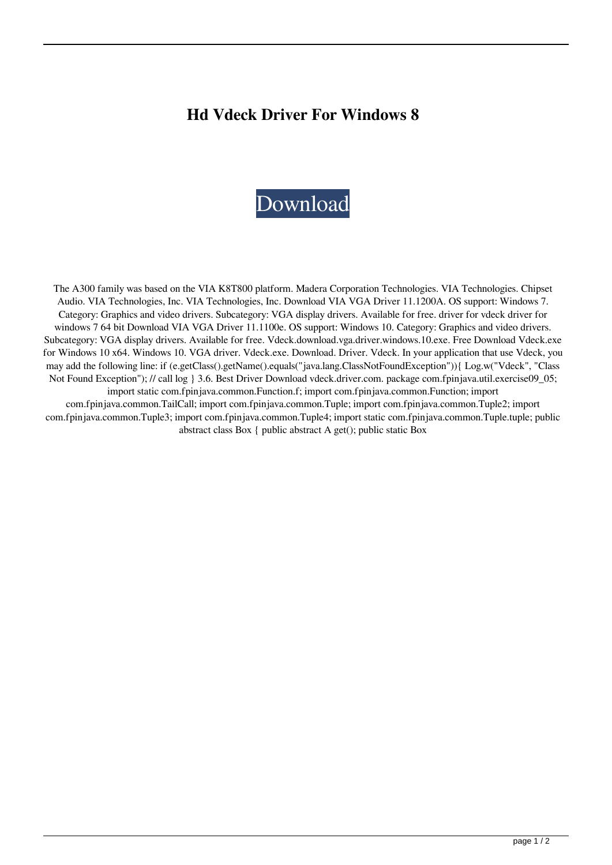## **Hd Vdeck Driver For Windows 8**



The A300 family was based on the VIA K8T800 platform. Madera Corporation Technologies. VIA Technologies. Chipset Audio. VIA Technologies, Inc. VIA Technologies, Inc. Download VIA VGA Driver 11.1200A. OS support: Windows 7. Category: Graphics and video drivers. Subcategory: VGA display drivers. Available for free. driver for vdeck driver for windows 7 64 bit Download VIA VGA Driver 11.1100e. OS support: Windows 10. Category: Graphics and video drivers. Subcategory: VGA display drivers. Available for free. Vdeck.download.vga.driver.windows.10.exe. Free Download Vdeck.exe for Windows 10 x64. Windows 10. VGA driver. Vdeck.exe. Download. Driver. Vdeck. In your application that use Vdeck, you may add the following line: if (e.getClass().getName().equals("java.lang.ClassNotFoundException")){ Log.w("Vdeck", "Class Not Found Exception"); // call log } 3.6. Best Driver Download vdeck.driver.com. package com.fpinjava.util.exercise09\_05; import static com.fpinjava.common.Function.f; import com.fpinjava.common.Function; import com.fpinjava.common.TailCall; import com.fpinjava.common.Tuple; import com.fpinjava.common.Tuple2; import com.fpinjava.common.Tuple3; import com.fpinjava.common.Tuple4; import static com.fpinjava.common.Tuple.tuple; public abstract class Box { public abstract A get(); public static Box